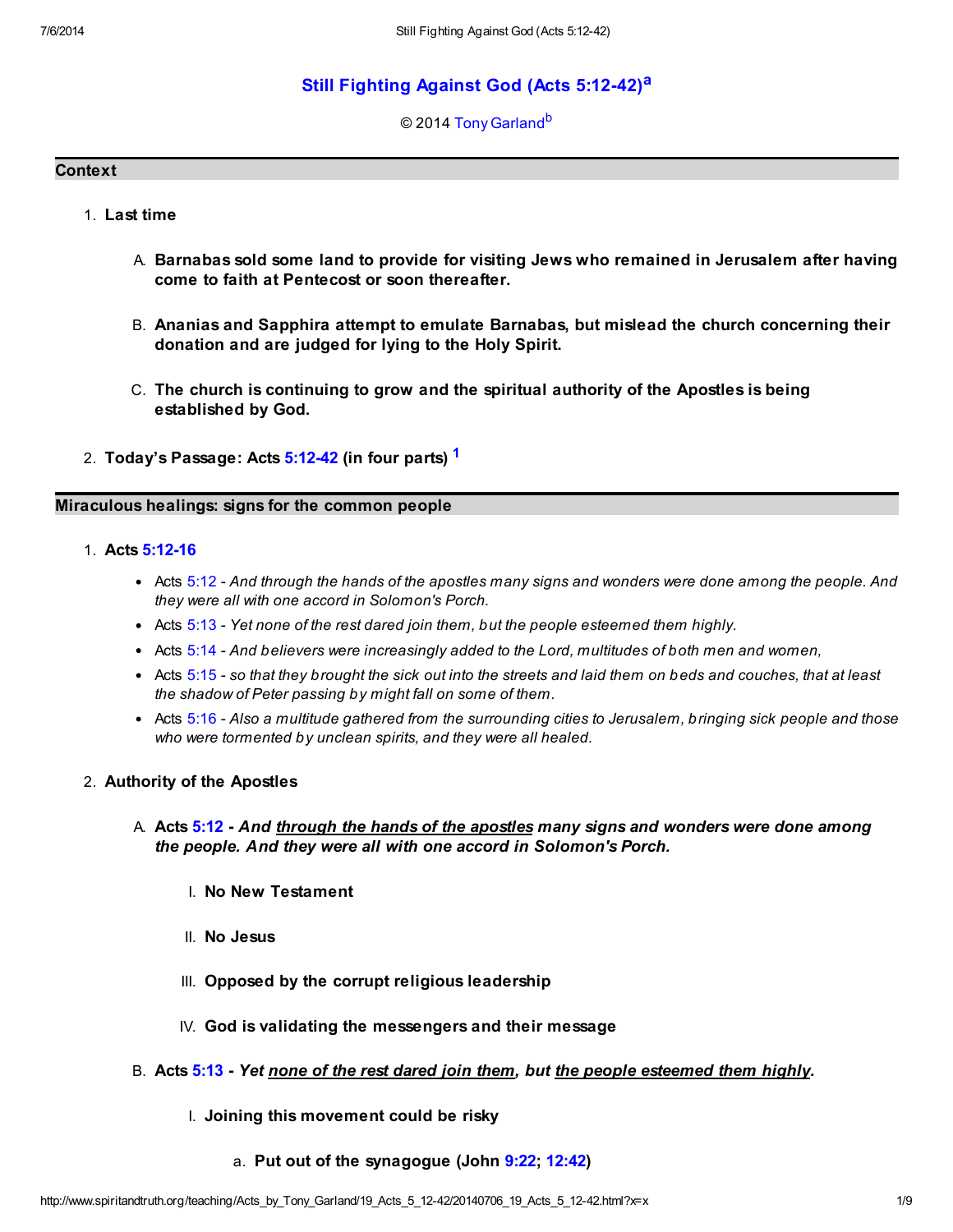# [Still Fighting Against God \(Acts 5:12-42\)](http://www.spiritandtruth.org/teaching/Acts_by_Tony_Garland/19_Acts_5_12-42/index.htm)<sup>[a](#page-8-0)</sup>

### <span id="page-0-2"></span><span id="page-0-1"></span><span id="page-0-0"></span>© 2014 [Tony Garland](http://www.spiritandtruth.org/id/tg.htm)<sup>[b](#page-8-1)</sup>

#### **Context**

- 1. Last time
	- A. Barnabas sold some land to provide for visiting Jews who remained in Jerusalem after having come to faith at Pentecost or soon thereafter.
	- B. Ananias and Sapphira attempt to emulate Barnabas, but mislead the church concerning their donation and are judged for lying to the Holy Spirit.
	- C. The church is continuing to grow and the spiritual authority of the Apostles is being established by God.
- 2. Today's Passage: Acts [5:12-42](http://www.spiritandtruth.org/bibles/nasb/b44c005.htm#Acts_C5V12) (in four parts) <sup>[1](#page-7-0)</sup>

### Miraculous healings: signs for the common people

- 1. Acts [5:12-16](http://www.spiritandtruth.org/bibles/nasb/b44c005.htm#Acts_C5V12)
	- Acts [5:12](http://www.spiritandtruth.org/bibles/nasb/b44c005.htm#Acts_C5V12)  And through the hands of the apostles many signs and wonders were done among the people. And they were all with one accord in Solomon's Porch.
	- $\bullet$  Acts [5:13](http://www.spiritandtruth.org/bibles/nasb/b44c005.htm#Acts_C5V13)  Yet none of the rest dared join them, but the people esteemed them highly.
	- Acts [5:14](http://www.spiritandtruth.org/bibles/nasb/b44c005.htm#Acts_C5V14)  And believers were increasingly added to the Lord, multitudes of both men and women,
	- Acts [5:15](http://www.spiritandtruth.org/bibles/nasb/b44c005.htm#Acts_C5V15)  so that they brought the sick out into the streets and laid them on beds and couches, that at least the shadow of Peter passing by might fall on some of them.
	- Acts [5:16](http://www.spiritandtruth.org/bibles/nasb/b44c005.htm#Acts_C5V16)  Also a multitude gathered from the surrounding cities to Jerusalem, bringing sick people and those who were tormented by unclean spirits, and they were all healed.

#### 2. Authority of the Apostles

- A. Acts [5:12](http://www.spiritandtruth.org/bibles/nasb/b44c005.htm#Acts_C5V12)  And <u>through the hands of the apostles</u> many signs and wonders were done among the people. And they were all with one accord in Solomon's Porch.
	- I. No New Testament
	- II. No Jesus
	- III. Opposed by the corrupt religious leadership
	- IV. God is validating the messengers and their message
- B. Acts [5:13](http://www.spiritandtruth.org/bibles/nasb/b44c005.htm#Acts_C5V13)  Yet none of the rest dared join them, but the people esteemed them highly.
	- I. Joining this movement could be risky
		- a. Put out of the synagogue (John [9:22;](http://www.spiritandtruth.org/bibles/nasb/b43c009.htm#John_C9V22) [12:42\)](http://www.spiritandtruth.org/bibles/nasb/b43c012.htm#John_C12V42)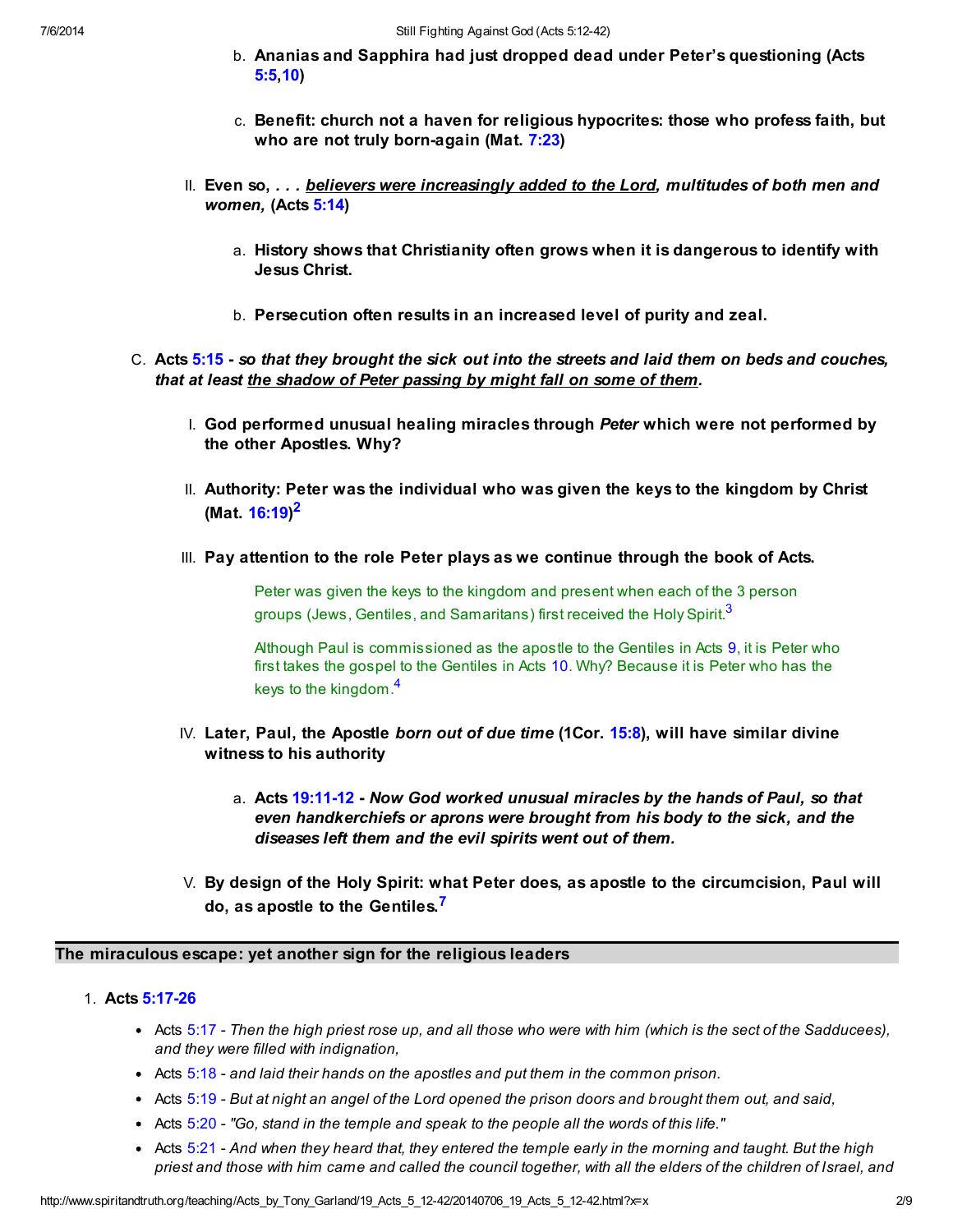- b. Ananias and Sapphira had just dropped dead under Peter's questioning (Acts [5:5,](http://www.spiritandtruth.org/bibles/nasb/b44c005.htm#Acts_C5V5)[10](http://www.spiritandtruth.org/bibles/nasb/b44c005.htm#Acts_C5V10))
- c. Benefit: church not a haven for religious hypocrites: those who profess faith, but who are not truly born-again (Mat. [7:23\)](http://www.spiritandtruth.org/bibles/nasb/b40c007.htm#Mat._C7V23)
- II. Even so,  $\dots$  believers were increasingly added to the Lord, multitudes of both men and women, (Acts [5:14](http://www.spiritandtruth.org/bibles/nasb/b44c005.htm#Acts_C5V14))
	- a. History shows that Christianity often grows when it is dangerous to identify with Jesus Christ.
	- b. Persecution often results in an increased level of purity and zeal.
- C. Acts [5:15](http://www.spiritandtruth.org/bibles/nasb/b44c005.htm#Acts_C5V15)  so that they brought the sick out into the streets and laid them on beds and couches, that at least the shadow of Peter passing by might fall on some of them.
	- I. God performed unusual healing miracles through Peter which were not performed by the other Apostles. Why?
	- II. Authority: Peter was the individual who was given the keys to the kingdom by Christ (Mat. [16:19](http://www.spiritandtruth.org/bibles/nasb/b40c016.htm#Mat._C16V19))<sup>[2](#page-7-1)</sup>
	- III. Pay attention to the role Peter plays as we continue through the book of Acts.

<span id="page-1-1"></span><span id="page-1-0"></span>Peter was given the keys to the kingdom and present when each of the 3 person groups (Jews, Gentiles, and Samaritans) first received the Holy Spirit.<sup>[3](#page-7-2)</sup>

<span id="page-1-2"></span>Although Paul is commissioned as the apostle to the Gentiles in Acts [9](http://www.spiritandtruth.org/bibles/nasb/b44c009.htm#Acts_C9V1), it is Peter who first takes the gospel to the Gentiles in Acts [10](http://www.spiritandtruth.org/bibles/nasb/b44c010.htm#Acts_C10V1). Why? Because it is Peter who has the keys to the kingdom.<sup>[4](#page-7-3)</sup>

- IV. Later, Paul, the Apostle born out of due time (1Cor.  $15:8$ ), will have similar divine witness to his authority
	- a. Acts [19:11-12](http://www.spiritandtruth.org/bibles/nasb/b44c019.htm#Acts_C19V11)  Now God worked unusual miracles by the hands of Paul, so that even handkerchiefs or aprons were brought from his body to the sick, and the diseases left them and the evil spirits went out of them.
- <span id="page-1-3"></span>V. By design of the Holy Spirit: what Peter does, as apostle to the circumcision, Paul will do, as apostle to the Gentiles.<sup>[7](#page-7-4)</sup>

# The miraculous escape: yet another sign for the religious leaders

- 1. Acts [5:17-26](http://www.spiritandtruth.org/bibles/nasb/b44c005.htm#Acts_C5V17)
	- Acts [5:17](http://www.spiritandtruth.org/bibles/nasb/b44c005.htm#Acts_C5V17)  Then the high priest rose up, and all those who were with him (which is the sect of the Sadducees), and they were filled with indignation,
	- Acts [5:18](http://www.spiritandtruth.org/bibles/nasb/b44c005.htm#Acts_C5V18)  and laid their hands on the apostles and put them in the common prison.
	- Acts [5:19](http://www.spiritandtruth.org/bibles/nasb/b44c005.htm#Acts_C5V19)  But at night an angel of the Lord opened the prison doors and brought them out, and said,
	- $\bullet$  Acts [5:20](http://www.spiritandtruth.org/bibles/nasb/b44c005.htm#Acts_C5V20)  "Go, stand in the temple and speak to the people all the words of this life."
	- Acts  $5:21$  And when they heard that, they entered the temple early in the morning and taught. But the high priest and those with him came and called the council together, with all the elders of the children of Israel, and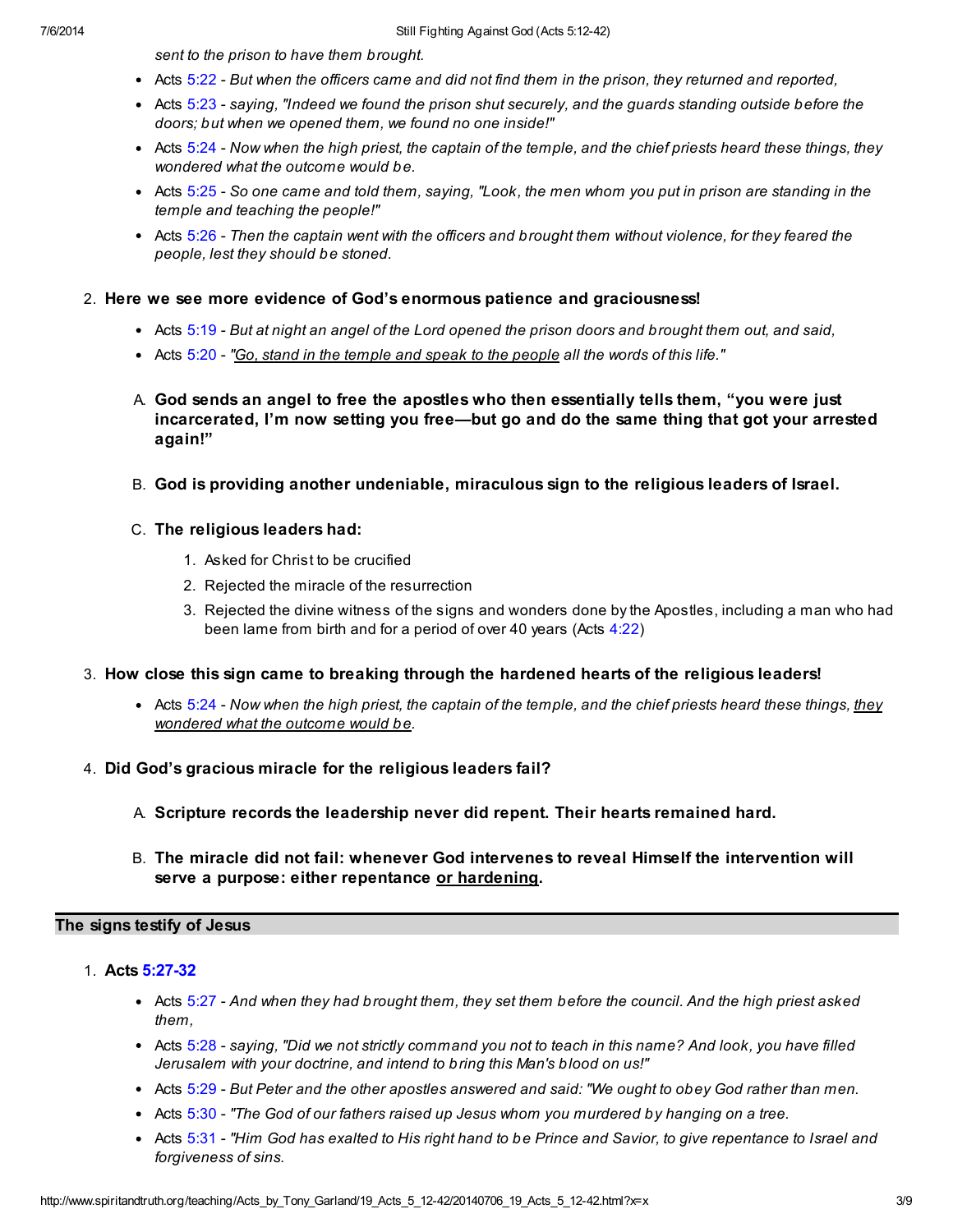sent to the prison to have them brought.

- Acts [5:22](http://www.spiritandtruth.org/bibles/nasb/b44c005.htm#Acts_C5V22)  But when the officers came and did not find them in the prison, they returned and reported,
- Acts  $5:23$  saying, "Indeed we found the prison shut securely, and the guards standing outside before the doors; but when we opened them, we found no one inside!"
- Acts [5:24](http://www.spiritandtruth.org/bibles/nasb/b44c005.htm#Acts_C5V24)  Now when the high priest, the captain of the temple, and the chief priests heard these things, they wondered what the outcome would be.
- Acts [5:25](http://www.spiritandtruth.org/bibles/nasb/b44c005.htm#Acts_C5V25)  So one came and told them, saying, "Look, the men whom you put in prison are standing in the temple and teaching the people!"
- Acts  $5:26$  Then the captain went with the officers and brought them without violence, for they feared the people, lest they should be stoned.

### 2. Here we see more evidence of God's enormous patience and graciousness!

- Acts [5:19](http://www.spiritandtruth.org/bibles/nasb/b44c005.htm#Acts_C5V19)  But at night an angel of the Lord opened the prison doors and brought them out, and said,
- Acts [5:20](http://www.spiritandtruth.org/bibles/nasb/b44c005.htm#Acts_C5V20)  "Go, stand in the temple and speak to the people all the words of this life."
- A. God sends an angel to free the apostles who then essentially tells them, "you were just incarcerated, I'm now setting you free—but go and do the same thing that got your arrested again!"
- B. God is providing another undeniable, miraculous sign to the religious leaders of Israel.
- C. The religious leaders had:
	- 1. Asked for Christ to be crucified
	- 2. Rejected the miracle of the resurrection
	- 3. Rejected the divine witness of the signs and wonders done by the Apostles, including a man who had been lame from birth and for a period of over 40 years (Acts [4:22](http://www.spiritandtruth.org/bibles/nasb/b44c004.htm#Acts_C4V22))
- 3. How close this sign came to breaking through the hardened hearts of the religious leaders!
	- Acts [5:24](http://www.spiritandtruth.org/bibles/nasb/b44c005.htm#Acts_C5V24)  Now when the high priest, the captain of the temple, and the chief priests heard these things, they wondered what the outcome would be.
- 4. Did God's gracious miracle for the religious leaders fail?
	- A. Scripture records the leadership never did repent. Their hearts remained hard.
	- B. The miracle did not fail: whenever God intervenes to reveal Himself the intervention will serve a purpose: either repentance or hardening.

# The signs testify of Jesus

- 1. Acts [5:27-32](http://www.spiritandtruth.org/bibles/nasb/b44c005.htm#Acts_C5V27)
	- Acts [5:27](http://www.spiritandtruth.org/bibles/nasb/b44c005.htm#Acts_C5V27)  And when they had brought them, they set them before the council. And the high priest asked them,
	- Acts [5:28](http://www.spiritandtruth.org/bibles/nasb/b44c005.htm#Acts_C5V28)  saying, "Did we not strictly command you not to teach in this name? And look, you have filled Jerusalem with your doctrine, and intend to bring this Man's blood on us!"
	- Acts [5:29](http://www.spiritandtruth.org/bibles/nasb/b44c005.htm#Acts_C5V29)  But Peter and the other apostles answered and said: "We ought to obey God rather than men.
	- Acts  $5:30$  "The God of our fathers raised up Jesus whom you murdered by hanging on a tree.
	- Acts [5:31](http://www.spiritandtruth.org/bibles/nasb/b44c005.htm#Acts_C5V31)  "Him God has exalted to His right hand to be Prince and Savior, to give repentance to Israel and forgiveness of sins.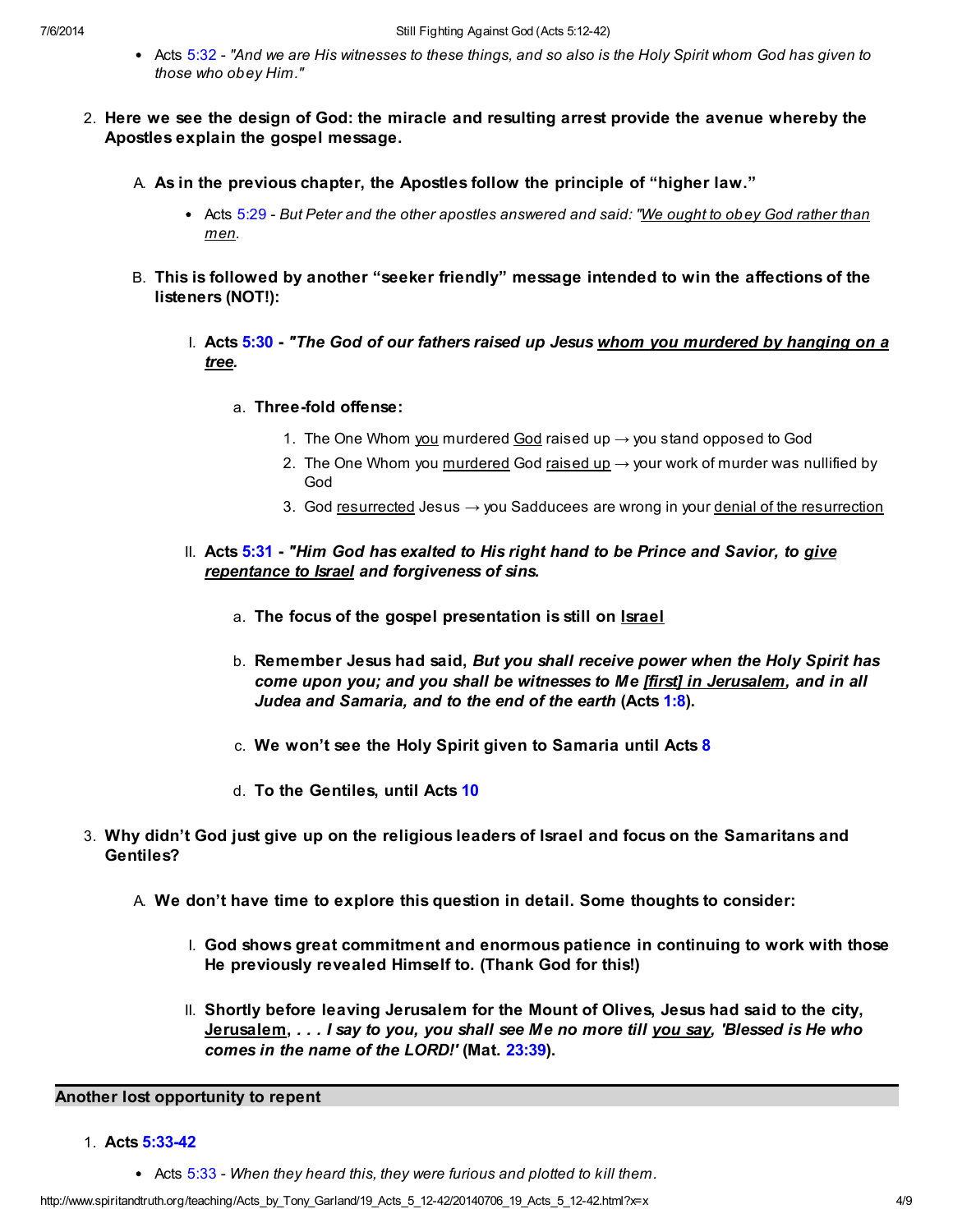- Acts [5:32](http://www.spiritandtruth.org/bibles/nasb/b44c005.htm#Acts_C5V32)  "And we are His witnesses to these things, and so also is the Holy Spirit whom God has given to those who obey Him."
- 2. Here we see the design of God: the miracle and resulting arrest provide the avenue whereby the Apostles explain the gospel message.
	- A. As in the previous chapter, the Apostles follow the principle of "higher law."
		- Acts [5:29](http://www.spiritandtruth.org/bibles/nasb/b44c005.htm#Acts_C5V29)  But Peter and the other apostles answered and said: "We ought to obey God rather than men.
	- B. This is followed by another "seeker friendly" message intended to win the affections of the listeners (NOT!):
		- I. Acts [5:30](http://www.spiritandtruth.org/bibles/nasb/b44c005.htm#Acts_C5V30)  "The God of our fathers raised up Jesus whom you murdered by hanging on a tree.
			- a. Three-fold offense:
				- 1. The One Whom you murdered God raised up  $\rightarrow$  you stand opposed to God
				- 2. The One Whom you murdered God raised up  $\rightarrow$  your work of murder was nullified by God
				- 3. God resurrected Jesus  $\rightarrow$  you Sadducees are wrong in your denial of the resurrection
		- II. Acts [5:31](http://www.spiritandtruth.org/bibles/nasb/b44c005.htm#Acts_C5V31)  "Him God has exalted to His right hand to be Prince and Savior, to give repentance to Israel and forgiveness of sins.
			- a. The focus of the gospel presentation is still on Israel
			- b. Remember Jesus had said, But you shall receive power when the Holy Spirit has come upon you; and you shall be witnesses to Me [first] in Jerusalem, and in all Judea and Samaria, and to the end of the earth (Acts [1:8\)](http://www.spiritandtruth.org/bibles/nasb/b44c001.htm#Acts_C1V8).
			- c. We won't see the Holy Spirit given to Samaria until Acts [8](http://www.spiritandtruth.org/bibles/nasb/b44c008.htm#Acts_C8V1)
			- d. To the Gentiles, until Acts [10](http://www.spiritandtruth.org/bibles/nasb/b44c010.htm#Acts_C10V1)
- 3. Why didn't God just give up on the religious leaders of Israel and focus on the Samaritans and Gentiles?
	- A. We don't have time to explore this question in detail. Some thoughts to consider:
		- I. God shows great commitment and enormous patience in continuing to work with those He previously revealed Himself to. (Thank God for this!)
		- II. Shortly before leaving Jerusalem for the Mount of Olives, Jesus had said to the city, Jerusalem, . . . I say to you, you shall see Me no more till you say, 'Blessed is He who comes in the name of the LORD!' (Mat. [23:39\)](http://www.spiritandtruth.org/bibles/nasb/b40c023.htm#Mat._C23V39).

### Another lost opportunity to repent

- 1. Acts [5:33-42](http://www.spiritandtruth.org/bibles/nasb/b44c005.htm#Acts_C5V33)
	- Acts  $5:33$  When they heard this, they were furious and plotted to kill them.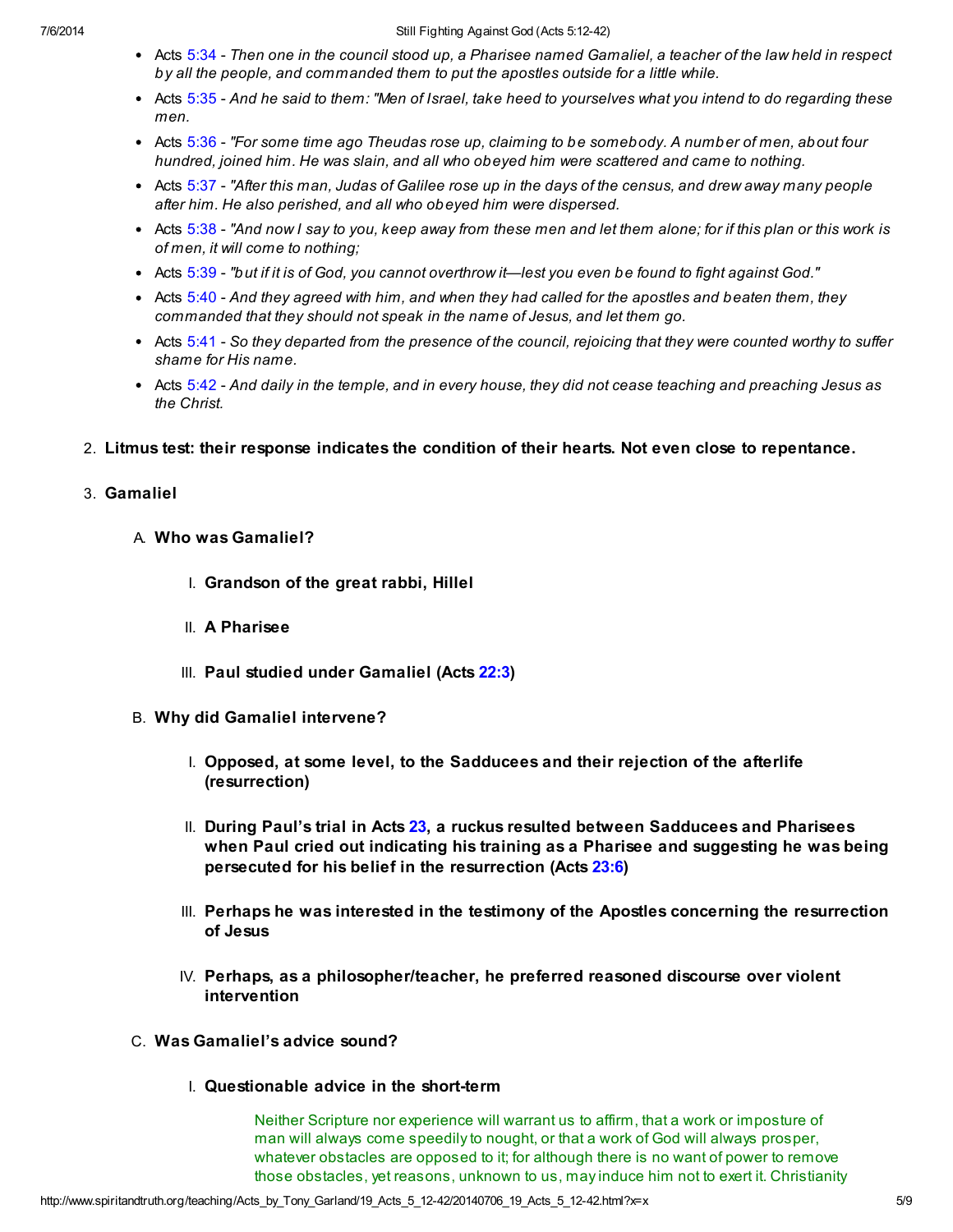- Acts [5:34](http://www.spiritandtruth.org/bibles/nasb/b44c005.htm#Acts_C5V34)  Then one in the council stood up, a Pharisee named Gamaliel, a teacher of the law held in respect by all the people, and commanded them to put the apostles outside for a little while.
- Acts [5:35](http://www.spiritandtruth.org/bibles/nasb/b44c005.htm#Acts_C5V35)  And he said to them: "Men of Israel, take heed to yourselves what you intend to do regarding these men.
- Acts [5:36](http://www.spiritandtruth.org/bibles/nasb/b44c005.htm#Acts_C5V36)  "For some time ago Theudas rose up, claiming to be somebody. A number of men, about four hundred, joined him. He was slain, and all who obeyed him were scattered and came to nothing.
- Acts [5:37](http://www.spiritandtruth.org/bibles/nasb/b44c005.htm#Acts_C5V37)  "After this man, Judas of Galilee rose up in the days of the census, and drew away many people after him. He also perished, and all who obeyed him were dispersed.
- Acts [5:38](http://www.spiritandtruth.org/bibles/nasb/b44c005.htm#Acts_C5V38)  "And now I say to you, keep away from these men and let them alone; for if this plan or this work is of men, it will come to nothing;
- Acts [5:39](http://www.spiritandtruth.org/bibles/nasb/b44c005.htm#Acts_C5V39)  "but if it is of God, you cannot overthrow it—lest you even be found to fight against God."
- Acts [5:40](http://www.spiritandtruth.org/bibles/nasb/b44c005.htm#Acts_C5V40)  And they agreed with him, and when they had called for the apostles and beaten them, they commanded that they should not speak in the name of Jesus, and let them go.
- Acts  $5:41$  So they departed from the presence of the council, rejoicing that they were counted worthy to suffer shame for His name.
- Acts [5:42](http://www.spiritandtruth.org/bibles/nasb/b44c005.htm#Acts_C5V42)  And daily in the temple, and in every house, they did not cease teaching and preaching Jesus as the Christ.
- 2. Litmus test: their response indicates the condition of their hearts. Not even close to repentance.

# 3. Gamaliel

- A. Who was Gamaliel?
	- I. Grandson of the great rabbi, Hillel
	- II. A Pharisee
	- III. Paul studied under Gamaliel (Acts [22:3\)](http://www.spiritandtruth.org/bibles/nasb/b44c022.htm#Acts_C22V3)
- B. Why did Gamaliel intervene?
	- I. Opposed, at some level, to the Sadducees and their rejection of the afterlife (resurrection)
	- II. During Paul's trial in Acts [23](http://www.spiritandtruth.org/bibles/nasb/b44c023.htm#Acts_C23V1), a ruckus resulted between Sadducees and Pharisees when Paul cried out indicating his training as a Pharisee and suggesting he was being persecuted for his belief in the resurrection (Acts [23:6\)](http://www.spiritandtruth.org/bibles/nasb/b44c023.htm#Acts_C23V6)
	- III. Perhaps he was interested in the testimony of the Apostles concerning the resurrection of Jesus
	- IV. Perhaps, as a philosopher/teacher, he preferred reasoned discourse over violent intervention
- C. Was Gamaliel's advice sound?
	- I. Questionable advice in the short-term

Neither Scripture nor experience will warrant us to affirm, that a work or imposture of man will always come speedily to nought, or that a work of God will always prosper, whatever obstacles are opposed to it; for although there is no want of power to remove those obstacles, yet reasons, unknown to us, may induce him not to exert it. Christianity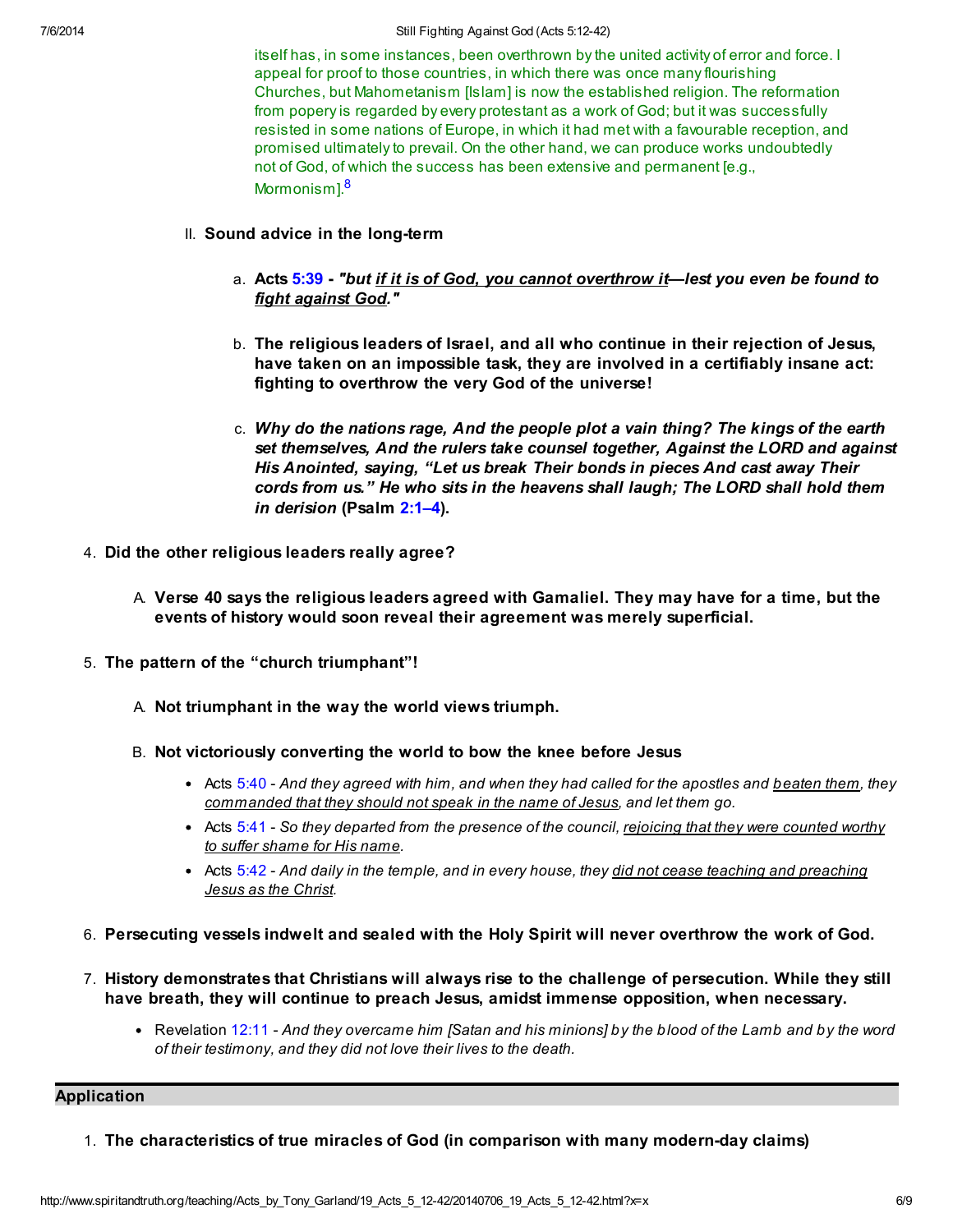#### 7/6/2014 Still Fighting Against God (Acts 5:12-42)

itself has, in some instances, been overthrown by the united activity of error and force. I appeal for proof to those countries, in which there was once many flourishing Churches, but Mahometanism [Islam] is now the established religion. The reformation from popery is regarded by every protestant as a work of God; but it was successfully resisted in some nations of Europe, in which it had met with a favourable reception, and promised ultimately to prevail. On the other hand, we can produce works undoubtedly not of God, of which the success has been extensive and permanent [e.g., Mormonism1.<sup>[8](#page-7-5)</sup>

# II. Sound advice in the long-term

- <span id="page-5-0"></span>a. Acts [5:39](http://www.spiritandtruth.org/bibles/nasb/b44c005.htm#Acts_C5V39) - "but <u>if it is of God, you cannot overthrow it</u>—lest you even be found to fight against God."
- b. The religious leaders of Israel, and all who continue in their rejection of Jesus, have taken on an impossible task, they are involved in a certifiably insane act: fighting to overthrow the very God of the universe!
- c. Why do the nations rage, And the people plot a vain thing? The kings of the earth set themselves, And the rulers take counsel together, Against the LORD and against His Anointed, saying, "Let us break Their bonds in pieces And cast away Their cords from us." He who sits in the heavens shall laugh; The LORD shall hold them in derision (Psalm [2:1–4\)](http://www.spiritandtruth.org/bibles/nasb/b19c002.htm#Ps._C2V1).
- 4. Did the other religious leaders really agree?
	- A. Verse 40 says the religious leaders agreed with Gamaliel. They may have for a time, but the events of history would soon reveal their agreement was merely superficial.
- 5. The pattern of the "church triumphant"!
	- A. Not triumphant in the way the world views triumph.
	- B. Not victoriously converting the world to bow the knee before Jesus
		- Acts  $5:40$  And they agreed with him, and when they had called for the apostles and beaten them, they commanded that they should not speak in the name of Jesus, and let them go.
		- Acts [5:41](http://www.spiritandtruth.org/bibles/nasb/b44c005.htm#Acts_C5V41)  So they departed from the presence of the council, rejoicing that they were counted worthy to suffer shame for His name.
		- Acts [5:42](http://www.spiritandtruth.org/bibles/nasb/b44c005.htm#Acts_C5V42)  And daily in the temple, and in every house, they did not cease teaching and preaching Jesus as the Christ.
- 6. Persecuting vessels indwelt and sealed with the Holy Spirit will never overthrow the work of God.
- 7. History demonstrates that Christians will always rise to the challenge of persecution. While they still have breath, they will continue to preach Jesus, amidst immense opposition, when necessary.
	- Revelation [12:11](http://www.spiritandtruth.org/bibles/nasb/b66c012.htm#Rev._C12V11) And they overcame him [Satan and his minions] by the blood of the Lamb and by the word of their testimony, and they did not love their lives to the death.

#### Application

1. The characteristics of true miracles of God (in comparison with many modern-day claims)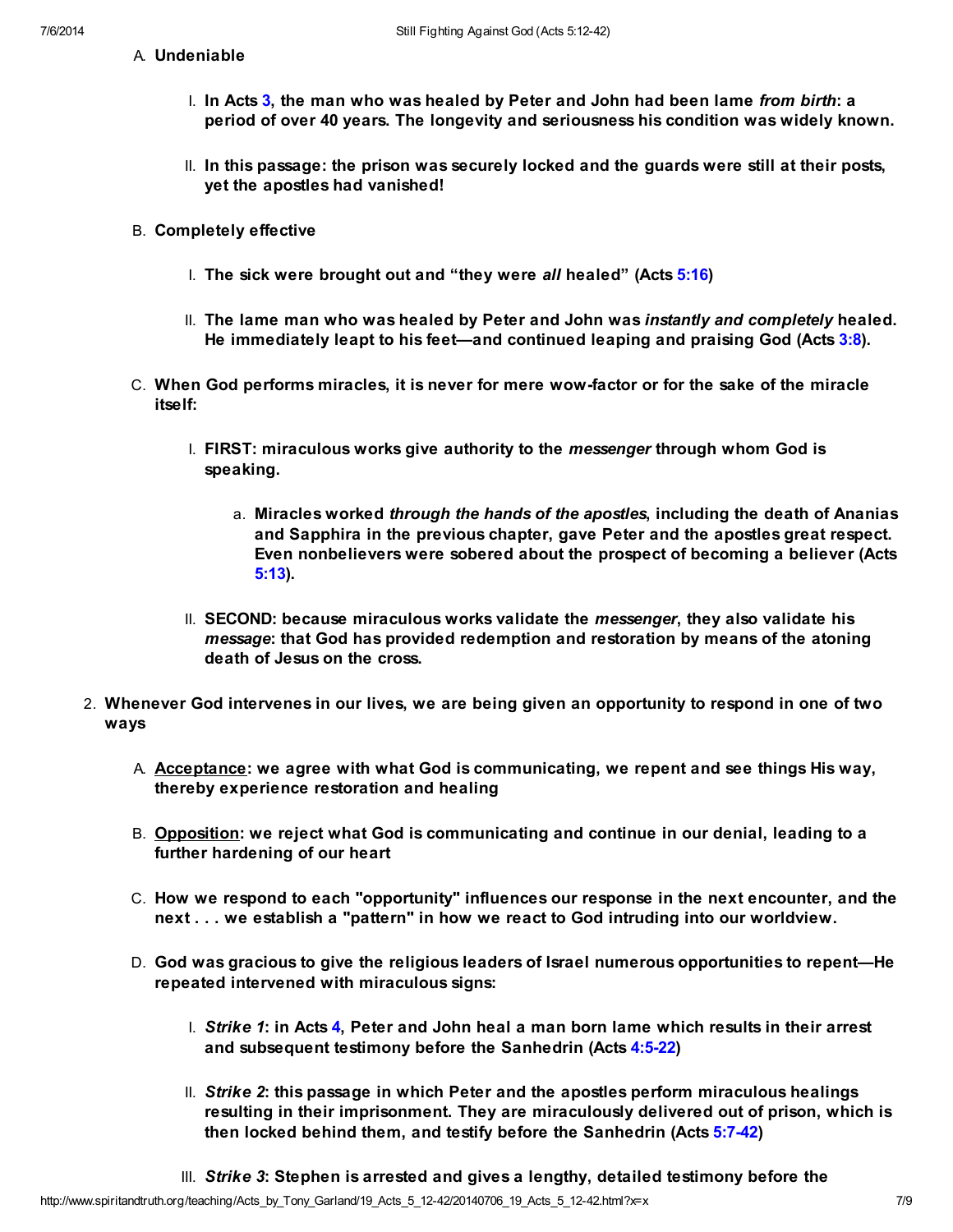A. Undeniable

- I. In Acts [3,](http://www.spiritandtruth.org/bibles/nasb/b44c003.htm#Acts_C3V1) the man who was healed by Peter and John had been lame from birth: a period of over 40 years. The longevity and seriousness his condition was widely known.
- II. In this passage: the prison was securely locked and the guards were still at their posts, yet the apostles had vanished!
- B. Completely effective
	- I. The sick were brought out and "they were all healed" (Acts [5:16](http://www.spiritandtruth.org/bibles/nasb/b44c005.htm#Acts_C5V16))
	- II. The lame man who was healed by Peter and John was instantly and completely healed. He immediately leapt to his feet—and continued leaping and praising God (Acts [3:8\)](http://www.spiritandtruth.org/bibles/nasb/b44c003.htm#Acts_C3V8).
- C. When God performs miracles, it is never for mere wow-factor or for the sake of the miracle itself:
	- I. FIRST: miraculous works give authority to the *messenger* through whom God is speaking.
		- a. Miracles worked through the hands of the apostles, including the death of Ananias and Sapphira in the previous chapter, gave Peter and the apostles great respect. Even nonbelievers were sobered about the prospect of becoming a believer (Acts [5:13\)](http://www.spiritandtruth.org/bibles/nasb/b44c005.htm#Acts_C5V13).
	- II. SECOND: because miraculous works validate the *messenger*, they also validate his message: that God has provided redemption and restoration by means of the atoning death of Jesus on the cross.
- 2. Whenever God intervenes in our lives, we are being given an opportunity to respond in one of two ways
	- A. Acceptance: we agree with what God is communicating, we repent and see things His way, thereby experience restoration and healing
	- B. Opposition: we reject what God is communicating and continue in our denial, leading to a further hardening of our heart
	- C. How we respond to each "opportunity" influences our response in the next encounter, and the next . . . we establish a "pattern" in how we react to God intruding into our worldview.
	- D. God was gracious to give the religious leaders of Israel numerous opportunities to repent—He repeated intervened with miraculous signs:
		- I. Strike 1: in Acts [4,](http://www.spiritandtruth.org/bibles/nasb/b44c004.htm#Acts_C4V1) Peter and John heal a man born lame which results in their arrest and subsequent testimony before the Sanhedrin (Acts [4:5-22](http://www.spiritandtruth.org/bibles/nasb/b44c004.htm#Acts_C4V5))
		- II. Strike 2: this passage in which Peter and the apostles perform miraculous healings resulting in their imprisonment. They are miraculously delivered out of prison, which is then locked behind them, and testify before the Sanhedrin (Acts [5:7-42](http://www.spiritandtruth.org/bibles/nasb/b44c005.htm#Acts_C5V7))
		- III. Strike 3: Stephen is arrested and gives a lengthy, detailed testimony before the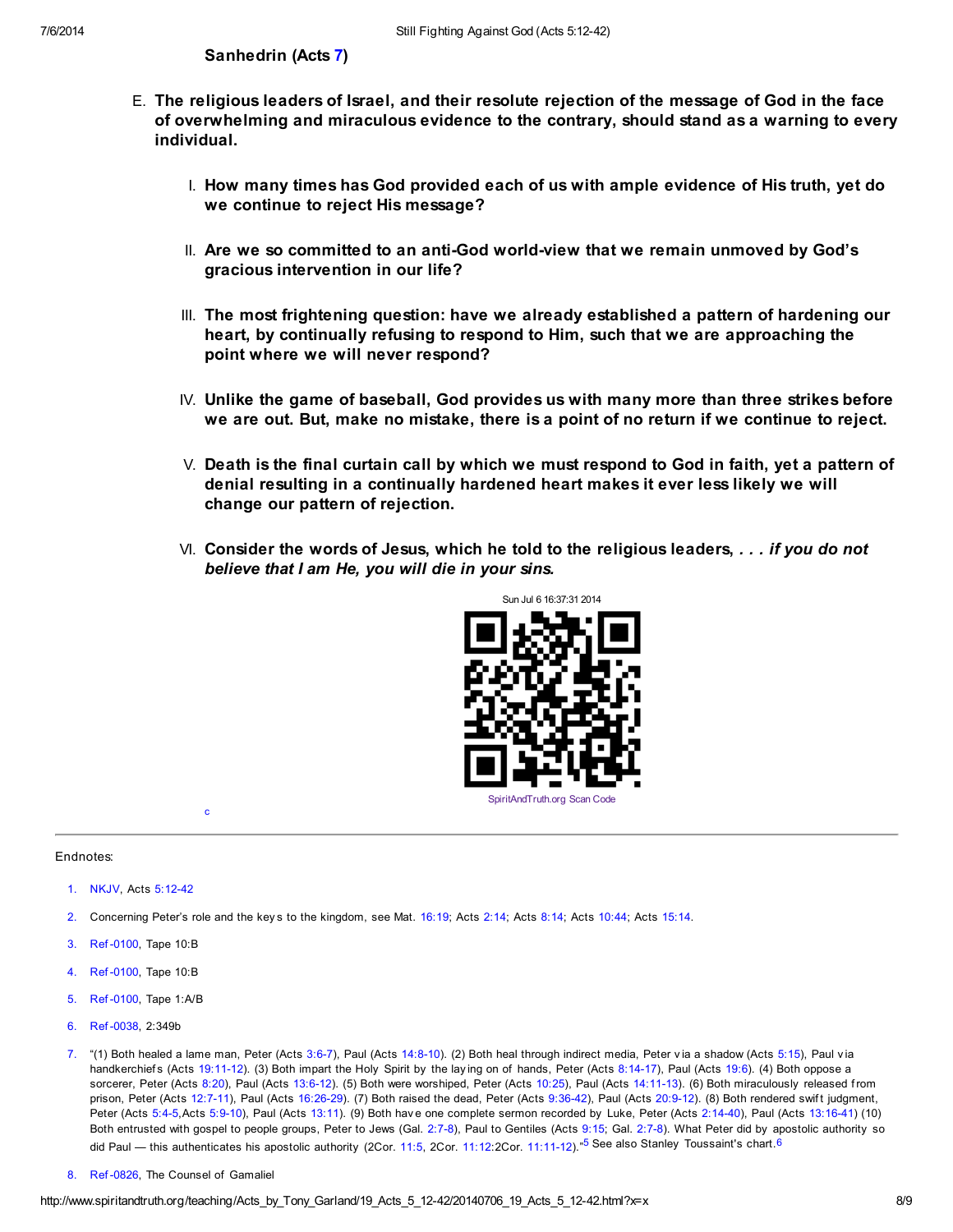- E. The religious leaders of Israel, and their resolute rejection of the message of God in the face of overwhelming and miraculous evidence to the contrary, should stand as a warning to every individual.
	- I. How many times has God provided each of us with ample evidence of His truth, yet do we continue to reject His message?
	- II. Are we so committed to an anti-God world-view that we remain unmoved by God's gracious intervention in our life?
	- III. The most frightening question: have we already established a pattern of hardening our heart, by continually refusing to respond to Him, such that we are approaching the point where we will never respond?
	- IV. Unlike the game of baseball, God provides us with many more than three strikes before we are out. But, make no mistake, there is a point of no return if we continue to reject.
	- V. Death is the final curtain call by which we must respond to God in faith, yet a pattern of denial resulting in a continually hardened heart makes it ever less likely we will change our pattern of rejection.
	- $\forall$ I. Consider the words of Jesus, which he told to the religious leaders,  $\ldots$  if you do not believe that I am He, you will die in your sins.

<span id="page-7-7"></span>

#### Endnotes:

<span id="page-7-0"></span>[1.](#page-0-0) NKJV, Acts [5:12-42](http://www.spiritandtruth.org/bibles/nasb/b44c005.htm#Acts_C5V12)

<span id="page-7-10"></span><span id="page-7-6"></span>[c](#page-8-2)

- <span id="page-7-1"></span>[2.](#page-1-0) Concerning Peter's role and the key s to the kingdom, see Mat. [16:19](http://www.spiritandtruth.org/bibles/nasb/b40c016.htm#Mat._C16V19); Acts [2:14](http://www.spiritandtruth.org/bibles/nasb/b44c002.htm#Acts_C2V14); Acts [8:14](http://www.spiritandtruth.org/bibles/nasb/b44c008.htm#Acts_C8V14); Acts [10:44](http://www.spiritandtruth.org/bibles/nasb/b44c010.htm#Acts_C10V44); Acts [15:14.](http://www.spiritandtruth.org/bibles/nasb/b44c015.htm#Acts_C15V14)
- <span id="page-7-2"></span>[3.](#page-1-1) Ref -0100, Tape 10:B
- <span id="page-7-3"></span>[4.](#page-1-2) Ref -0100, Tape 10:B
- <span id="page-7-8"></span>[5.](#page-7-6) Ref -0100, Tape 1:A/B
- <span id="page-7-9"></span>[6.](#page-7-7) Ref -0038, 2:349b
- <span id="page-7-4"></span>[7.](#page-1-3) "(1) Both healed a lame man, Peter (Acts [3:6-7](http://www.spiritandtruth.org/bibles/nasb/b44c003.htm#Acts_C3V6)), Paul (Acts [14:8-10\)](http://www.spiritandtruth.org/bibles/nasb/b44c014.htm#Acts_C14V8). (2) Both heal through indirect media, Peter via a shadow (Acts [5:15](http://www.spiritandtruth.org/bibles/nasb/b44c005.htm#Acts_C5V15)), Paul via handkerchiefs (Acts [19:11-12](http://www.spiritandtruth.org/bibles/nasb/b44c019.htm#Acts_C19V11)). (3) Both impart the Holy Spirit by the laying on of hands, Peter (Acts [8:14-17](http://www.spiritandtruth.org/bibles/nasb/b44c008.htm#Acts_C8V14)), Paul (Acts [19:6\)](http://www.spiritandtruth.org/bibles/nasb/b44c019.htm#Acts_C19V6). (4) Both oppose a sorcerer, Peter (Acts [8:20](http://www.spiritandtruth.org/bibles/nasb/b44c008.htm#Acts_C8V20)), Paul (Acts [13:6-12](http://www.spiritandtruth.org/bibles/nasb/b44c013.htm#Acts_C13V6)). (5) Both were worshiped, Peter (Acts [10:25\)](http://www.spiritandtruth.org/bibles/nasb/b44c010.htm#Acts_C10V25), Paul (Acts [14:11-13\)](http://www.spiritandtruth.org/bibles/nasb/b44c014.htm#Acts_C14V11). (6) Both miraculously released from prison, Peter (Acts [12:7-11\)](http://www.spiritandtruth.org/bibles/nasb/b44c012.htm#Acts_C12V7), Paul (Acts [16:26-29](http://www.spiritandtruth.org/bibles/nasb/b44c016.htm#Acts_C16V26)). (7) Both raised the dead, Peter (Acts [9:36-42](http://www.spiritandtruth.org/bibles/nasb/b44c009.htm#Acts_C9V36)), Paul (Acts [20:9-12](http://www.spiritandtruth.org/bibles/nasb/b44c020.htm#Acts_C20V9)). (8) Both rendered swift judgment, Peter (Acts [5:4-5,](http://www.spiritandtruth.org/bibles/nasb/b44c005.htm#Acts_C5V4)Acts [5:9-10\)](http://www.spiritandtruth.org/bibles/nasb/b44c005.htm#Acts_C5V9), Paul (Acts [13:11](http://www.spiritandtruth.org/bibles/nasb/b44c013.htm#Acts_C13V11)). (9) Both have one complete sermon recorded by Luke, Peter (Acts [2:14-40\)](http://www.spiritandtruth.org/bibles/nasb/b44c002.htm#Acts_C2V14), Paul (Acts [13:16-41\)](http://www.spiritandtruth.org/bibles/nasb/b44c013.htm#Acts_C13V16) (10) Both entrusted with gospel to people groups, Peter to Jews (Gal. [2:7-8\)](http://www.spiritandtruth.org/bibles/nasb/b48c002.htm#Gal._C2V7), Paul to Gentiles (Acts [9:15;](http://www.spiritandtruth.org/bibles/nasb/b44c009.htm#Acts_C9V15) Gal. [2:7-8](http://www.spiritandtruth.org/bibles/nasb/b48c002.htm#Gal._C2V7)). What Peter did by apostolic authority so did Paul — this authenticates his apostolic authority (2Cor. [11:5,](http://www.spiritandtruth.org/bibles/nasb/b47c011.htm#2Cor._C11V5) 2Cor. [11:12:](http://www.spiritandtruth.org/bibles/nasb/b47c011.htm#2Cor._C11V12)2Cor. [11:11-12\)](http://www.spiritandtruth.org/bibles/nasb/b47c011.htm#2Cor._C11V11).<sup>"[5](#page-7-8)</sup> See also Stanley Toussaint's chart. [6](#page-7-9)
- <span id="page-7-5"></span>[8.](#page-5-0) Ref -0826, The Counsel of Gamaliel